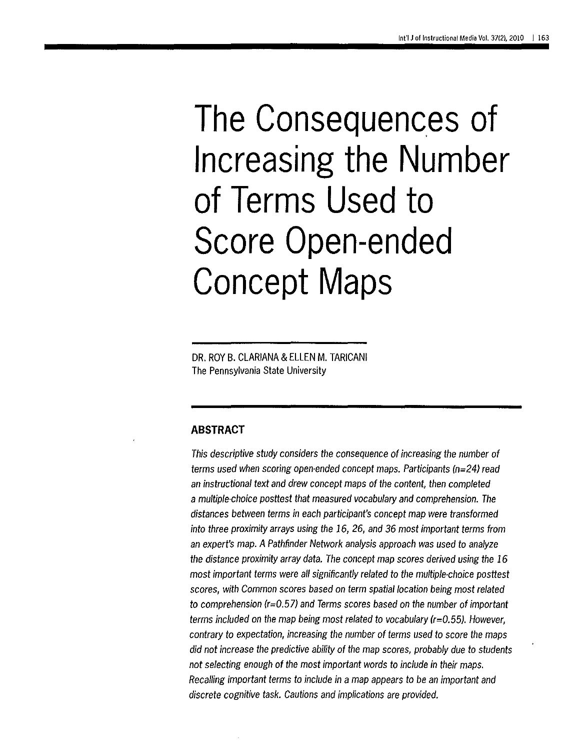# The Consequences of **Increasing the Number of Terms Used to Score Open-ended Concept Maps**

DR. ROY B. CLARIANA & ELLEN M. TARICANI The Pennsylvania State University

#### **ABSTRACT**

This descriptive study considers the consequence of increasing the number of terms used when scoring open-ended concept maps. Participants (n=24) read an instructional text and drew concept maps of the content, then completed a multiple-choice posttest that measured vocabulary and comprehension. The distances between terms in each participant's concept map were transformed into three proximity arrays using the 16, 26, and 36 most important terms from an expert's map. A Pathfinder Network analysis approach was used to analyze the distance proximity array data. The concept map scores derived using the 16 most important terms were all significantly related to the multiple-choice posttest scores, with Common scores based on term spatial location being most related to comprehension (r=0.57) and Terms scores based on the number of important terms included on the map being most related to vocabulary (r=0.55). However, contrary to expectation, increasing the number of terms used to score the maps did not increase the predictive ability of the map scores, probably due to students not selecting enough of the most important words to include in their maps. Recalling important terms to include in a map appears to be an important and discrete cognitive task. Cautions and implications are provided.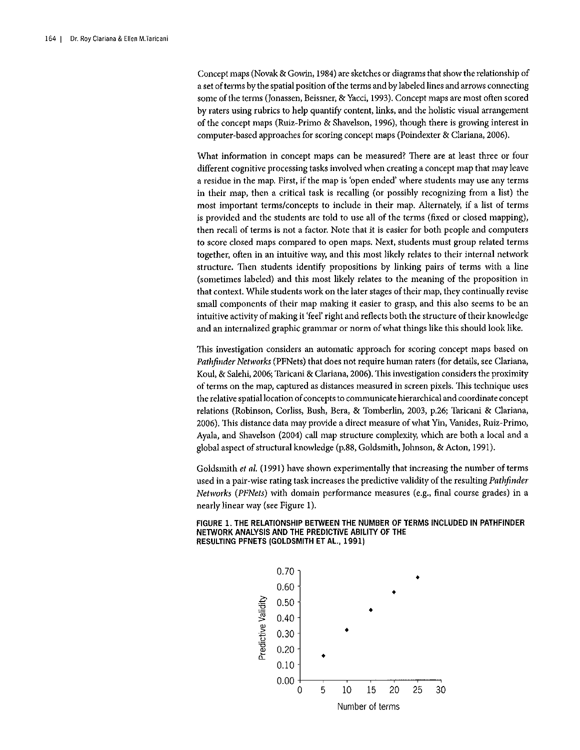Concept maps (Novak & Gowin, 1984) are sketches or diagrams that show the relationship of a set of terms by the spatial position of the terms and by labeled lines and arrows connecting some of the terms (Jonassen, Beissner, & Yacci, 1993). Concept maps are most often scored by raters using rubrics to help quantify content, links, and the holistic visual arrangement of the concept maps (Ruiz-Primo & Shavelson, 1996), though there is growing interest in computer-based approaches for scoring concept maps (Poindexter & Clariana, 2006).

What information in concept maps can be measured? There are at least three or four different cognitive processing tasks involved when creating a concept map that may leave a residue in the map. First, if the map is 'open ended' where students may use any terms in their map, then a critical task is recalling (or possibly recognizing from a list) the most important terms/concepts to include in their map. Alternately, if a list of terms is provided and the students are told to use all of the terms (fixed or closed mapping), then recall of terms is not a factor. Note that it is easier for both people and computers to score dosed maps compared to open maps. Next, students must group related terms together, often in an intuitive way, and this most likely relates to their internal network structure. Then students identify propositions by linking pairs of terms with a line (sometimes labeled) and this most likely relates to the meaning of the proposition in that context. While students work on the later stages of their map, they continually revise small components of their map making it easier to grasp, and this also seems to be an intuitive activity of making it 'feel' right and reflects both the structure of their knowledge and an internalized graphic grammar or norm of what things like this should look like.

1his investigation considers an automatic approach for scoring concept maps based on *Pathfinder Networks* (PFNets) that does not require human raters (for details, see Clariana, Koul, & Salehi, 2006; Taricani & Clariana, 2006). This investigation considers the proximity of terms on the map, captured as distances measured in screen pixels. This technique uses the relative spatial location of concepts to communicate hierarchical and coordinate concept relations (Robinson, Corliss, Bush, Bera, & Tomberlin, 2003, p.26; Taricani & Clariana, 2006). This distance data may provide a direct measure of what Yin, Vanides, Ruiz-Primo, Ayala, and Shavelson (2004) call map *structure* complexity, which are both a local and a global aspect of structural knowledge (p.88, Goldsmith, Johnson, & Acton, 1991).

Goldsmith *et al.* (1991) have shown experimentally that increasing the number of terms used in a pair-wise rating task increases the predictive validity of the resulting *Pathfinder Networks (PFNets)* with domain performance measures (e.g., final course grades) in a nearly linear way (see Figure 1).

FIGURE 1. THE RELATIONSHIP BETWEEN THE NUMBER OF TERMS INCLUDED IN PATHFINDER NETWORK ANALYSIS AND THE PREDICTIVE ABILITY OF THE RESULTING PFNETS (GOLDSMITH ET AL., 1991)

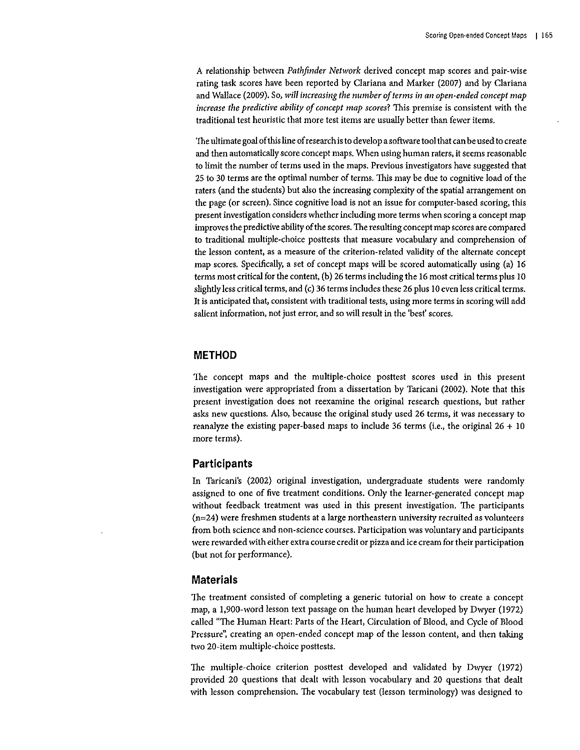A relationship between *Pathfinder Network* derived concept map scores and pair-wise rating task scores have been reported by Clariana and Marker (2007) and by Clariana and Wallace (2009). So, *will increasing the number of terms* in *an open-ended concept map increase the predictive ability of concept map scores?* This premise is consistent with the traditional test heuristic that more test items are usually better than fewer items.

The ultimate goal of this line of research is to develop a software tool that can be used to create **and then automatically score concept maps. When using human raters, it seems reasonable**  to limit the number of terms used in the maps. Previous investigators have suggested that 25 to 30 terms are the optimal number of terms. 1his may be due to cognitive load of the raters (and the students) but also the increasing complexity of the spatial arrangement on the page (or screen). Since cognitive load is not an issue for computer-based scoring, this **present investigation considers whether including more terms when scoring a concept map**  improves the predictive ability of the scores. The resulting concept map scores are compared to traditional multiple-choice posttests that measure vocabulary and comprehension of the lesson content, as a measure of the criterion-related validity of the alternate concept map scores. Specifically, a set of concept maps will be scored automatically using (a) 16 terms most critical for the content, (b) 26 terms including the 16 most critical terms plus 10 slightly less critical terms, and (c) 36 terms includes these 26 plus 10 even less critical terms. **It is anticipated that, consistent with traditional tests, using more terms in scoring will add salient information, not just error, and so will result in the 'best' scores.** 

#### **METHOD**

The concept maps and the multiple-choice posttest scores used in this present investigation were appropriated from a dissertation by Taricani (2002). Note that this **present investigation does not reexamine the original research questions, but rather asks new questions. Also, because the original study used 26 terms, it was necessary to**  reanalyze the existing paper-based maps to include 36 terms (i.e., the original 26 + 10 more terms).

#### **Participants**

In Taricani's (2002) original investigation, undergraduate students were randomly assigned to one of five treatment conditions. Only the learner-generated concept map without feedback treatment was used in this present investigation. The participants (n=24) were freshmen students at a large northeastern university recruited as volunteers **from both science and non-science courses. Participation was voluntary and participants**  *were* **rewarded with either extra course credit or pizza and** *ice* **cream for their participation**  (but not for performance).

#### **Materials**

**The treatment consisted of completing a generic tutorial on how to create a concept**  map, a 1,900-word lesson text passage on the human heart developed by Dwyer (1972) called "The Human Heart: Parts of the Heart, Circulation of Blood, and Cycle of Blood Pressure", creating an open-ended concept map of the lesson content, and then taking two 20-item multiple-choice posttests.

The multiple-choice criterion posttest developed and validated by Dwyer (1972) provided 20 questions that dealt with lesson vocabulary and 20 questions that dealt with lesson comprehension. The vocabulary test (lesson terminology) was designed to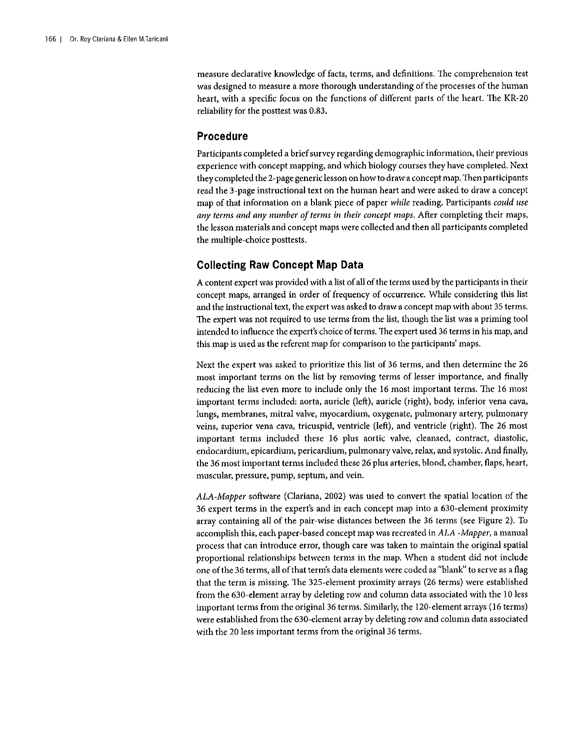**measure declarative knowledge of facts, terms, and definitions. 1he comprehension test**  was designed to measure a more thorough understanding of the processes of the human heart, with a specific focus on the functions of different parts of the heart. The KR-20 reliability for the pastiest was 0.83.

## **Procedure**

Participants completed a brief survey regarding demographic information, their previous experience with concept mapping, and which biology courses they have completed. Next they completed the 2-page genericlesson on how to draw a concept map. Then participants read the 3-page instructional text on the human heart and were asked to draw a concept map of that information on a blank piece of paper *while* reading. Participants *could use any terms and any number of terms* in *their concept maps.* After completing their maps, the lesson materials and concept maps were collected and then all participants completed the multiple-choice posttests.

# **Collecting Raw Concept Map Data**

A content expert was provided with a list of all of the terms used by the participants in their **concept maps, arranged in order of frequency of occurrence. 'Nhile considering this list and the instructional text, the expert was asked to draw a concept map with about 35 terms.**  The expert was not required to use terms from the list, though the list was a priming tool **intended to influence the expert's choice of terms. 1he expert used 36 terms in his map, and this map is used as the referent map for comparison to the participants' maps.** 

Next the expert was asked to prioritize this list of 36 terms, and then determine the 26 **most important terms on the list by removing terms of lesser importance, and finally**  reducing the list even more to include only the 16 most important terms. The 16 most important terms included: aorta, auricle (left), auricle (right), body, inferior vena cava, **lungs, membranes, mitral valve, myocardium, oxygenate, pulmonary artery, pulmonary**  veins, superior vena cava, tricuspid, ventricle (left), and ventricle (right). The 26 most **important terms included these 16 plus aortic valve, cleansed, contract, diastolic, endocardium, epicardium, pericardium, pulmonary valve, relax, and systolic. And finally,**  the 36 most important terms included these 26 plus arteries, blood, chamber, flaps, heart, **muscular, pressure, pump, septum, and vein.** 

*ALA-Mapper* software (Clariana, 2002) was used to convert the spatial location of the 36 expert terms in the expert's and in each concept map into a 630-element proximity array containing all of the pair-wise distances between the 36 terms (see Figure 2). To accomplish this, each paper-based concept map was recreated in *ALA -Mapper,* a manual **process that can introduce error, though care was taken to maintain the original spatial**  proportional relationships between terms in the map. When a student did not include one of the 36 terms, all of that term's data elements were coded as "blank" to serve as a flag that the term is missing. The 325-element proximity arrays (26 terms) were established from the 630-element array by deleting row and column data associated with the 10 less important terms from the original36 terms. Similarly, the 120-element arrays (16 terms) were established from the 630-element array by deleting row and column data associated with the 20 less important terms from the original 36 terms.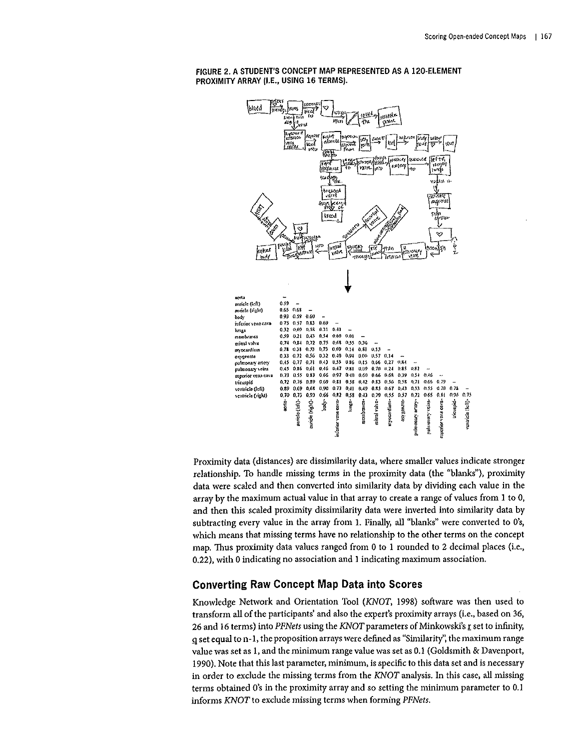

#### FIGURE 2. A STUDENT'S CONCEPT MAP REPRESENTED AS A 120·ELEMENT PROXIMITY ARRAY (I.E., USING 16 TERMS).

Proximity data (distances) are dissimilarity data, where smaller values indicate stronger relationship. To handle missing terms in the proximity data (the "blanks"), proximity data were scaled and then converted into similarity data by dividing each value in the array by the maximum actual value in that array to create a range of values from I to 0, and then this scaled proximity dissimilarity data were inverted into similarity data by subtracting every value in the array from I. Finally, all "blanks" were converted to O's, which means that missing terms have no relationship to the other terms on the concept map. Thus proximity data values ranged from 0 to I rounded to 2 decimal places (i.e., 0.22), with 0 indicating no association and I indicating maximum association.

#### Converting Raw Concept Map Data into Scores

Knowledge Network and Orientation Tool *(KNOT,* 1998) software was then used to transform all of the participants' and also the expert's proximity arrays (i.e., based on 36, 26 and 16 terms) into *PFNets* using the *KNOT* parameters of Minkowski's *r* set to infinity, !l set equal to n-1, the proposition arrays were defined as "Similarity", the maximum range value was set as I, and the minimum range value was set as 0.1 (Goldsmith & Davenport, 1990). Note that this last parameter, minimum, is specific to this data set and is necessary in order to exclude the missing terms from the *KNOT* analysis. In this case, all missing terms obtained O's in the proximity array and so setting the minimum parameter to 0.1 informs *KNOT* to exclude missing terms when forming *PFNets.*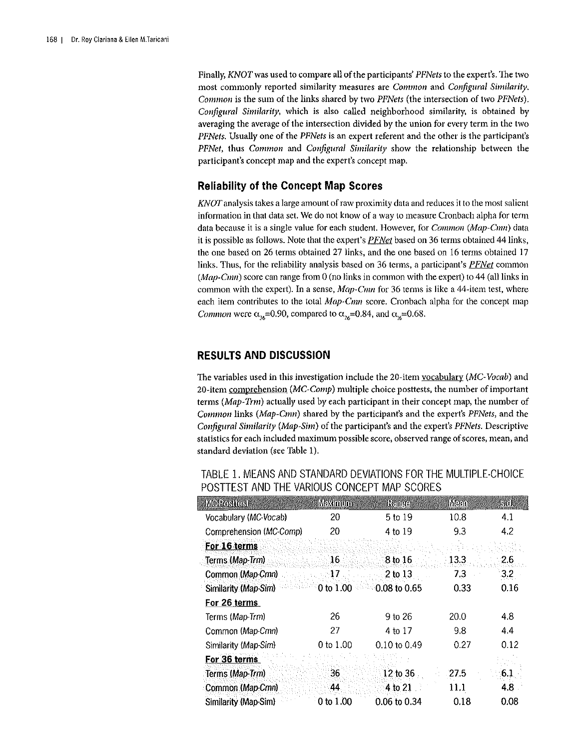Finally, *KNOT* was used to compare all of the participants' *PFNets* to the expert's. The two most commonly reported similarity measures are *Common* and *Configural Similarity*. *Common* is the sum of the links shared by two *PFNets* (the intersection of two *PFNets). Configura/ Similarity,* which is also called neighborhood similarity, is obtained by averaging the average of the intersection divided by the union for every term in the two *PFNets.* Usually one of the *PFNets* is an expert referent and the other is the participant's *PFNet,* thus *Common* and *Configura/ Similarity* show the relationship between the participant's concept map and the expert's concept map.

## Reliability of the Concept Map Scores

KNOT analysis takes a large amount of raw proximity data and reduces it to the most salient information in that data set. We do not know of a way to measure Cronbach alpha for term data because it is a single value for each student. However, for *Common (Map-Cmn)* data it is possible as follows. Note that the expert's *PFNet* based on 36 terms obtained 44links, the one based on 26 terms obtained 27 links, and the one based on 16 terms obtained 17 links. Thus, for the reliability analysis based on 36 terms, a participant's *PFNet* common  $(Map-Cmn)$  score can range from 0 (no links in common with the expert) to 44 (all links in common with the expert). In a sense,  $Map\text{-}Cmn$  for 36 terms is like a 44-item test, where each item contributes to the total *Map-Cmn* score. Cronbach alpha for the concept map Common were  $\alpha_{16}=0.90$ , compared to  $\alpha_{26}=0.84$ , and  $\alpha_{16}=0.68$ .

## RESULTS AND DISCUSSION

The variables used in this investigation include the 20-item vocabulary *(MC-Vocab)* and 20-item comprehension *(MC-Comp)* multiple choice posttests, the number of important terms *(Map-Trm)* actually used by each participant in their concept map, the number of *Common* links *(Map-Cmn)* shared by the participant's and the expert's *PFNets,* and the *Configura/ Similarity (Map-Sim)* of the participant's and the expert's *PFNets.* Descriptive statistics for each included maximum possible score, observed range of scores, mean, and standard deviation (see Table 1).

| MCRositesi              | Maximum   | Range            | <b>Mean</b> | <b>SKOL</b> |
|-------------------------|-----------|------------------|-------------|-------------|
| Vocabulary (MC-Vocab)   | 20        | 5 to 19          | 10.8        | 4.1         |
| Comprehension (MC-Comp) | 20        | 4 to 19          | 9.3         | 4.2         |
| For 16 terms            |           |                  |             |             |
| Terms (Map-Trm)         | -16       | .8 to 16         | 13.3        | 2.6         |
| Common (Map-Cmn)        | 17        | $2$ to $13$      | 7.3         | 3.2         |
| Similarity (Map-Sim)    | 0 to 1.00 | $0.08$ to $0.65$ | 0.33        | 0.16        |
| For 26 terms            |           |                  |             |             |
| Terms (Map-Trm)         | 26        | 9 to 26          | 20.0        | 4.8         |
| Common (Map-Cmn)        | 27        | 4 to 17          | 9.8         | 4.4         |
| Similarity (Map-Sim)    | 0 to 1.00 | 0.10 to 0.49     | 0.27        | 0.12        |
| For 36 terms            |           |                  |             |             |
| Terms (Map-Trm)         | 36        | 12 to 36         | 27.5        | 6.1         |
| Common (Map-Cmn)        | 44.       | 4 to 21          | 11.1        | 4.8         |
| Similarity (Map-Sim)    | 0 to 1.00 | 0.06 to 0.34     | 0.18        | 0.08        |

TABLE 1. MEANS AND STANDARD DEVIATIONS FOR THE MULTIPLE-CHOICE POSTTEST AND THE VARIOUS CONCEPT MAP SCORES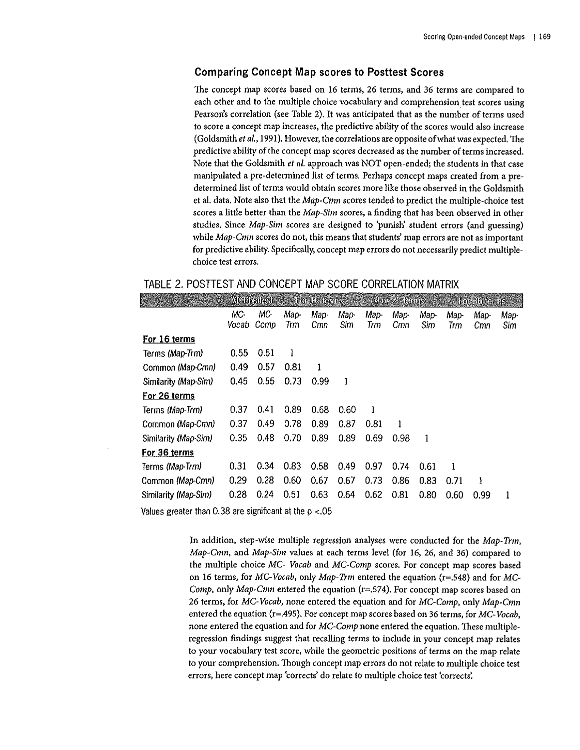## **Comparing Concept Map scores to Posttest Scores**

The concept map scores based on 16 terms, 26 terms, and 36 terms are compared to each other and to the multiple choice vocabulary and comprehension test scores using Pearson's correlation (see Table 2). It was anticipated that as the number of terms used to score a concept map increases, the predictive ability of the scores would also increase (Goldsmith *et* a/.,1991). However, the correlations are opposite of what was expected. The predictive ability of the concept map scores decreased as the number of terms increased. Note that the Goldsmith *et a/.* approach was NOT open-ended; the students in that case manipulated a pre-determined list of terms. Perhaps concept maps created from a predetermined list of terms would obtain scores more like those observed in the Goldsmith et al. data. Note also that the *Map-Ctnn* scores tended to predict the multiple-choice test scores a little better than the *Map-Sim* scores, a finding that has been observed in other studies. Since *Map-Sim* scores are designed to 'punish' student errors (and guessing) **while** *Map-Cmn* **scores do not, this means that students' map errors are not as important**  for predictive ability. Specifically, concept map errors do not necessarily predict multiple**choice test errors.** 

# TABLE 2. POSTTEST AND CONCEPT MAP SCORE CORRELATION MATRIX

|                      |              | MGPositest<br>For the temps |             | For 26 terms |             |              | For 36 tenns |             |             |             |              |
|----------------------|--------------|-----------------------------|-------------|--------------|-------------|--------------|--------------|-------------|-------------|-------------|--------------|
|                      | МC-<br>Vocab | MC-<br>Comp                 | Map-<br>Trm | Map-<br>Cmn  | Map-<br>Sim | Map-<br>Trm  | Map-<br>Cmn  | Map-<br>Sim | Map-<br>Trm | Map-<br>Cmn | Map-<br>Sim. |
| For 16 terms         |              |                             |             |              |             |              |              |             |             |             |              |
| Terms (Map-Trm)      | 0.55         | 0.51                        | ł           |              |             |              |              |             |             |             |              |
| Common (Map-Cmn)     | 0.49         | 0.57                        | 0.81        | 1            |             |              |              |             |             |             |              |
| Similarity (Map-Sim) | 0.45         | 0.55                        | 0.73        | 0.99         | 1           |              |              |             |             |             |              |
| For 26 terms         |              |                             |             |              |             |              |              |             |             |             |              |
| Terms (Map-Trm)      | 0.37         | 0.41                        | 0.89        | 0.68         | 0.60        | $\mathbf{1}$ |              |             |             |             |              |
| Common (Map-Cmn)     | 0.37         | 0.49                        | 0.78        | 0.89         | 0.87        | 0.81         | 1            |             |             |             |              |
| Similarity (Map-Sim) | 0.35         | 0.48                        | 0.70        | 0.89         | 0.89        | 0.69         | 0.98         | 1           |             |             |              |
| For 36 terms         |              |                             |             |              |             |              |              |             |             |             |              |
| Terms (Map-Trm)      | 0.31         | 0.34                        | 0.83        | 0.58         | 0.49        | 0.97         | 0.74         | 0.61        | 1           |             |              |
| Common (Map-Cmn)     | 0.29         | 0.28                        | 0.60        | 0.67         | 0.67        | 0.73         | 0.86         | 0.83        | 0.71        | 1           |              |
| Similarity (Map-Sim) | 0.28         | 0.24                        | 0.51        | 0.63         | 0.64        | 0.62         | 0.81         | 0.80        | 0.60        | 0.99        | 1            |
|                      |              |                             |             |              |             |              |              |             |             |             |              |

Values greater than 0.38 are significant at the p <.05

In addition, step-wise multiple regression analyses were conducted for the *Map-Trm*, *Map-Cmn*, and *Map-Sim* values at each terms level (for 16, 26, and 36) compared to the multiple choice *MC- Vocab* and *MC-Comp* scores. For concept map scores based on 16 terms, for *MC-Vocab*, only *Map-Trm* entered the equation (r=.548) and for *MC-Comp*, only *Map-Cmn* entered the equation (r=.574). For concept map scores based on 26 terms, for *MC-Vocab,* none entered the equation and for *MC-Cotnp, only Map-Ctnn*  entered the equation (r=.495). For concept map scores based on 36 terms, for *MC-Vocab,*  none entered the equation and for *MC-Cotnp* none entered the equation. These multipleregression findings suggest that recalling terms to include in *your* concept map relates to *your* vocabulary test score, while the geometric positions of terms on the map relate to *your* comprehension. Though concept map errors do not relate to multiple choice test **errors, here concept map 'corrects' do relate to multiple choice test 'corrects:**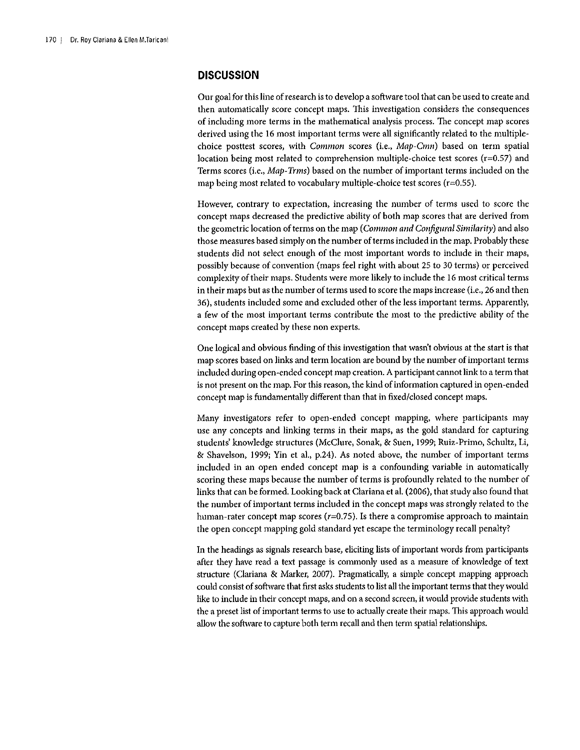## **DISCUSSION**

Our goal for this line of research is to develop a software tool that can be used to create and then automatically score concept maps. This investigation considers the consequences **of including more terms in the mathematical analysis process. The concept map scores**  derived using the 16 most important terms were all significantly related to the multiple**choice posttest scores, with** *Common* **scores (i.e.,** *Map-Cmn)* **based on term spatial**  location being most related to comprehension multiple-choice test scores ( $r=0.57$ ) and Terms scores (i.e., *Map-*Trms) based on the number of important terms included on the map being most related to vocabulary multiple-choice test scores  $(r=0.55)$ .

**However, contrary to expectation, increasing the number of terms used to score the**  concept maps decreased the predictive ability of both map scores that are derived from the geometric location of terms on the map *(Common and Configura/ Similarity)* and also those measures based simply on the number of terms included in the map. Probably these students did not select enough of the most important words to include in their maps, possibly because of convention (maps feel right with about 25 to 30 terms) or perceived complexity of their maps. Students were more likely to include the 16 most critical terms **in their maps but as the number of terms used to score the maps increase (i.e., 26 and then**  36), students included some and excluded other of the less important terms. Apparently, a few of the most important terms contribute the most to the predictive ability of the **concept maps created by these non experts.** 

One logical and obvious finding of this investigation that wasn't obvious at the start is that map scores based on links and term location are bound by the number of important terms included during open-ended concept map creation. A participant cannot link to a term that is not present on the map. For this reason, the kind of information captured in open-ended concept map is fundamentally different than that in fixed/closed concept maps.

Many investigators refer to open-ended concept mapping, where participants may use any concepts and linking terms in their maps, as the gold standard for capturing students' knowledge structures (McClure, Sonak, & Suen, 1999; Ruiz-Primo, Schultz, Li, & Shavelson, 1999; Yin et a!., p.24). As noted above, the number of important terms included in an open ended concept map is a confounding variable in automatically scoring these maps because the number of terms is profoundly related to the number of links that can be formed. Looking back at Clariana et al. (2006), that study also found that the number of important terms included in the concept maps was strongly related to the **human-rater concept map scores (r=0.75). Is there a compromise approach to maintain**  the open concept mapping gold standard yet escape the terminology recall penalty?

In the headings as signals research base, eliciting lists of important words from participants after they have read a text passage is commonly used as a measure of knowledge of text structure (Ciariana & Marker, 2007). Pragmatically, a simple concept mapping approach could consist of software that first asks students to list all the important terms that they would like to include in their concept maps, and on a second screen, it would provide students with the a preset list of important terms to use to actually create their maps. This approach would allow the software to capture both term recall and then term spatial relationships.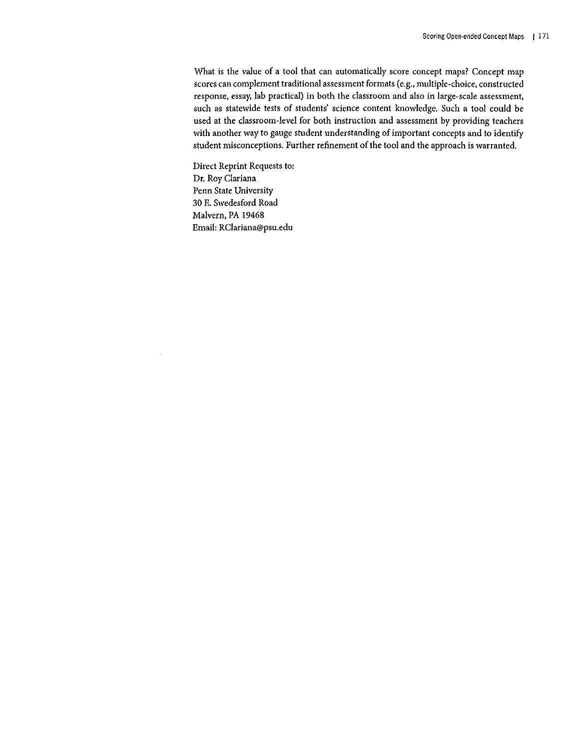What is the value of a tool that can automatically score concept maps? Concept map **scores can complement traditional assessment formats (e.g.,** multiple~choice, **constructed response, essay, lab practical) in both the classroom and also in** large~scale **assessment,**  such as statewide tests of students' science content knowledge. Such a tool could be used at the classroom-level for both instruction and assessment by providing teachers with another way to gauge student understanding of important concepts and to identify student misconceptions. Further refinement of the tool and the approach is warranted.

Direct Reprint Requests to: Dr. Roy Clariana Penn State University 30 E. Swedesford Road Malvern, PA 19468 Email: RClariana@psu.edu

÷.